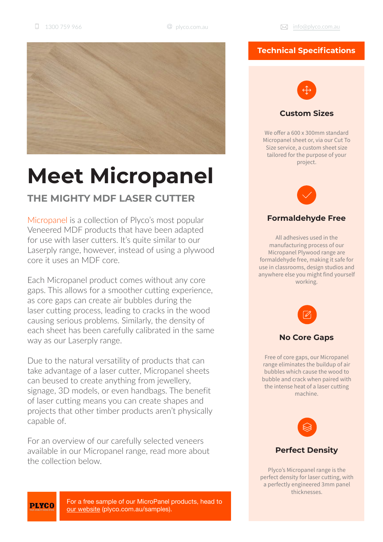

# **Meet Micropanel**

# **THE MIGHTY MDF LASER CUTTER**

Micropanel is a collection of Plyco's most popular Veneered MDF products that have been adapted for use with laser cutters. It's quite similar to our Laserply range, however, instead of using a plywood core it uses an MDF core.

Each Micropanel product comes without any core gaps. This allows for a smoother cutting experience, as core gaps can create air bubbles during the laser cutting process, leading to cracks in the wood causing serious problems. Similarly, the density of each sheet has been carefully calibrated in the same way as our Laserply range.

Due to the natural versatility of products that can take advantage of a laser cutter, Micropanel sheets can beused to create anything from jewellery, signage, 3D models, or even handbags. The benefit of laser cutting means you can create shapes and projects that other timber products aren't physically capable of.

For an overview of our carefully selected veneers available in our Micropanel range, read more about the collection below.

## **Technical Specifications**



We offer a 600 x 300mm standard Micropanel sheet or, via our Cut To Size service, a custom sheet size tailored for the purpose of your project.



## **Formaldehyde Free**

All adhesives used in the manufacturing process of our Micropanel Plywood range are formaldehyde free, making it safe for use in classrooms, design studios and anywhere else you might find yourself working.



#### **No Core Gaps**

Free of core gaps, our Micropanel range eliminates the buildup of air bubbles which cause the wood to bubble and crack when paired with the intense heat of a laser cutting machine.



Plyco's Micropanel range is the perfect density for laser cutting, with a perfectly engineered 3mm panel thicknesses.

**PLYCO** 

For a free sample of our MicroPanel products, head to our website (plyco.com.au/samples).